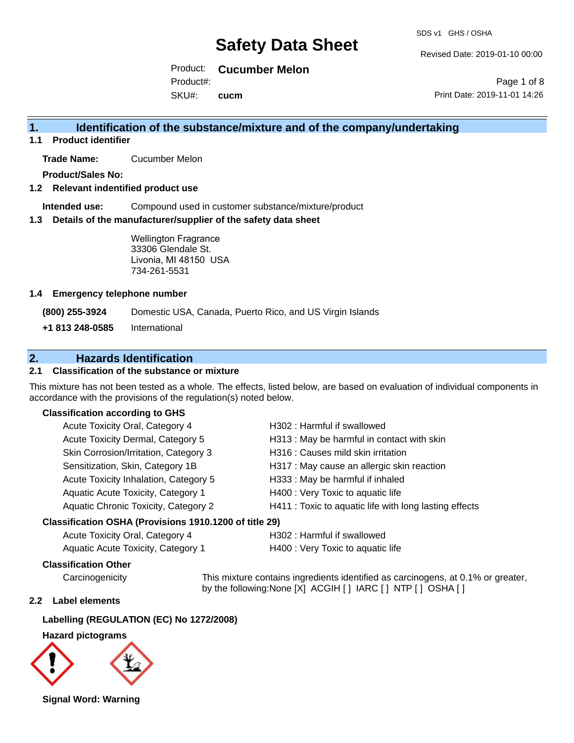Revised Date: 2019-01-10 00:00

Product: **Cucumber Melon**  Product#:

SKU#: **cucm**

### **1. Identification of the substance/mixture and of the company/undertaking**

**1.1 Product identifier**

**Trade Name:** Cucumber Melon

**Product/Sales No:**

#### **1.2 Relevant indentified product use**

**Intended use:** Compound used in customer substance/mixture/product

#### **1.3 Details of the manufacturer/supplier of the safety data sheet**

Wellington Fragrance 33306 Glendale St. Livonia, MI 48150 USA 734-261-5531

#### **1.4 Emergency telephone number**

**(800) 255-3924** Domestic USA, Canada, Puerto Rico, and US Virgin Islands

**+1 813 248-0585** International

### **2. Hazards Identification**

#### **2.1 Classification of the substance or mixture**

This mixture has not been tested as a whole. The effects, listed below, are based on evaluation of individual components in accordance with the provisions of the regulation(s) noted below.

#### **Classification according to GHS**

| Acute Toxicity Oral, Category 4          | H302: Harmful if swallowed                             |
|------------------------------------------|--------------------------------------------------------|
| Acute Toxicity Dermal, Category 5        | H313 : May be harmful in contact with skin             |
| Skin Corrosion/Irritation, Category 3    | H316 : Causes mild skin irritation                     |
| Sensitization, Skin, Category 1B         | H317 : May cause an allergic skin reaction             |
| Acute Toxicity Inhalation, Category 5    | H333: May be harmful if inhaled                        |
| Aquatic Acute Toxicity, Category 1       | H400 : Very Toxic to aquatic life                      |
| Aquatic Chronic Toxicity, Category 2     | H411 : Toxic to aquatic life with long lasting effects |
| $\mathbf{r}$ , and it is in the fill and |                                                        |

#### **Classification OSHA (Provisions 1910.1200 of title 29)**

| Acute Toxicity Oral, Category 4    | H302:1 |
|------------------------------------|--------|
| Aquatic Acute Toxicity, Category 1 | H400:  |

#### Harmful if swallowed Very Toxic to aquatic life

#### **Classification Other**

Carcinogenicity This mixture contains ingredients identified as carcinogens, at 0.1% or greater, by the following:None [X] ACGIH [ ] IARC [ ] NTP [ ] OSHA [ ]

#### **2.2 Label elements**

#### **Labelling (REGULATION (EC) No 1272/2008)**

#### **Hazard pictograms**



**Signal Word: Warning**

### Page 1 of 8 Print Date: 2019-11-01 14:26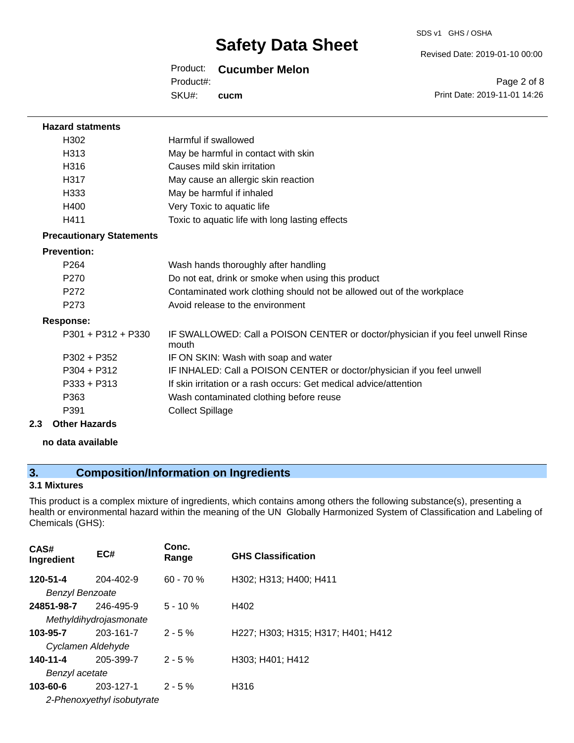#### Revised Date: 2019-01-10 00:00

#### Product: **Cucumber Melon**

Product#:

SKU#: **cucm**

Page 2 of 8 Print Date: 2019-11-01 14:26

| <b>Hazard statments</b>         |                                                                                          |
|---------------------------------|------------------------------------------------------------------------------------------|
| H302                            | Harmful if swallowed                                                                     |
| H313                            | May be harmful in contact with skin                                                      |
| H316                            | Causes mild skin irritation                                                              |
| H317                            | May cause an allergic skin reaction                                                      |
| H333                            | May be harmful if inhaled                                                                |
| H400                            | Very Toxic to aquatic life                                                               |
| H411                            | Toxic to aquatic life with long lasting effects                                          |
| <b>Precautionary Statements</b> |                                                                                          |
| <b>Prevention:</b>              |                                                                                          |
| P <sub>264</sub>                | Wash hands thoroughly after handling                                                     |
| P <sub>270</sub>                | Do not eat, drink or smoke when using this product                                       |
| P272                            | Contaminated work clothing should not be allowed out of the workplace                    |
| P <sub>273</sub>                | Avoid release to the environment                                                         |
| <b>Response:</b>                |                                                                                          |
| $P301 + P312 + P330$            | IF SWALLOWED: Call a POISON CENTER or doctor/physician if you feel unwell Rinse<br>mouth |
| $P302 + P352$                   | IF ON SKIN: Wash with soap and water                                                     |
| $P304 + P312$                   | IF INHALED: Call a POISON CENTER or doctor/physician if you feel unwell                  |
| $P333 + P313$                   | If skin irritation or a rash occurs: Get medical advice/attention                        |
| P363                            | Wash contaminated clothing before reuse                                                  |
| P391                            | <b>Collect Spillage</b>                                                                  |
| 2.3<br><b>Other Hazards</b>     |                                                                                          |

**no data available**

### **3. Composition/Information on Ingredients**

#### **3.1 Mixtures**

This product is a complex mixture of ingredients, which contains among others the following substance(s), presenting a health or environmental hazard within the meaning of the UN Globally Harmonized System of Classification and Labeling of Chemicals (GHS):

| CAS#<br>Ingredient         | EC#       | Conc.<br>Range | <b>GHS Classification</b>          |  |
|----------------------------|-----------|----------------|------------------------------------|--|
| 120-51-4                   | 204-402-9 | $60 - 70%$     | H302; H313; H400; H411             |  |
| <b>Benzyl Benzoate</b>     |           |                |                                    |  |
| 24851-98-7                 | 246-495-9 | $5 - 10 \%$    | H402                               |  |
| Methyldihydrojasmonate     |           |                |                                    |  |
| 103-95-7                   | 203-161-7 | $2 - 5 \%$     | H227; H303; H315; H317; H401; H412 |  |
| Cyclamen Aldehyde          |           |                |                                    |  |
| 140-11-4                   | 205-399-7 | $2 - 5%$       | H303: H401: H412                   |  |
| Benzyl acetate             |           |                |                                    |  |
| 103-60-6                   | 203-127-1 | $2 - 5%$       | H316                               |  |
| 2-Phenoxyethyl isobutyrate |           |                |                                    |  |
|                            |           |                |                                    |  |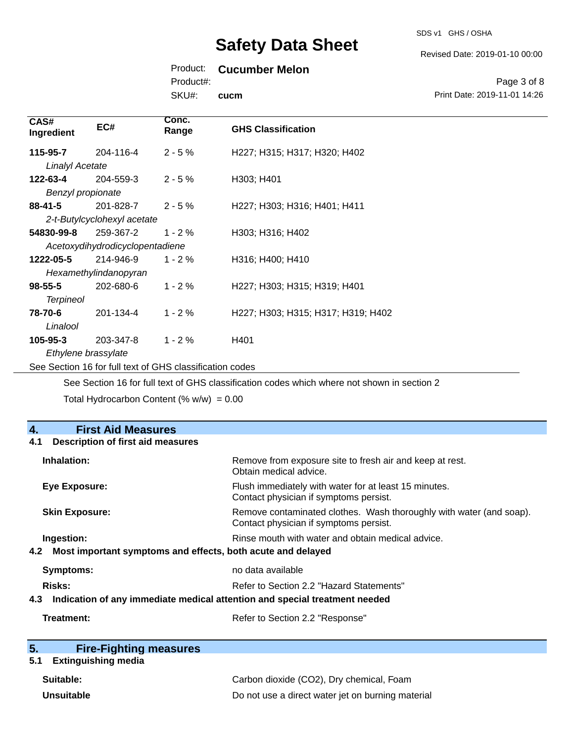SDS v1 GHS / OSHA

Revised Date: 2019-01-10 00:00

### Product: **Cucumber Melon**

Product#:

SKU#: **cucm**

#### Page 3 of 8 Print Date: 2019-11-01 14:26

| CAS#<br>Ingredient     | EC#                             | Conc.<br>Range | <b>GHS Classification</b>          |
|------------------------|---------------------------------|----------------|------------------------------------|
| 115-95-7               | 204-116-4                       | $2 - 5%$       | H227; H315; H317; H320; H402       |
| <b>Linalyl Acetate</b> |                                 |                |                                    |
| 122-63-4               | 204-559-3                       | $2 - 5%$       | H303; H401                         |
| Benzyl propionate      |                                 |                |                                    |
| 88-41-5                | 201-828-7                       | $2 - 5%$       | H227; H303; H316; H401; H411       |
|                        | 2-t-Butylcyclohexyl acetate     |                |                                    |
| 54830-99-8             | 259-367-2                       | $1 - 2%$       | H303; H316; H402                   |
|                        | Acetoxydihydrodicyclopentadiene |                |                                    |
| 1222-05-5              | 214-946-9                       | $1 - 2%$       | H316; H400; H410                   |
|                        | Hexamethylindanopyran           |                |                                    |
| $98 - 55 - 5$          | 202-680-6                       | $1 - 2%$       | H227; H303; H315; H319; H401       |
| <b>Terpineol</b>       |                                 |                |                                    |
| 78-70-6                | 201-134-4                       | $1 - 2%$       | H227; H303; H315; H317; H319; H402 |
| Linalool               |                                 |                |                                    |
| 105-95-3               | 203-347-8                       | $1 - 2%$       | H401                               |
| Ethylene brassylate    |                                 |                |                                    |

See Section 16 for full text of GHS classification codes

See Section 16 for full text of GHS classification codes which where not shown in section 2

Total Hydrocarbon Content (%  $w/w$ ) = 0.00

| 4.<br><b>First Aid Measures</b>                                                   |                                                                                                               |  |  |
|-----------------------------------------------------------------------------------|---------------------------------------------------------------------------------------------------------------|--|--|
| <b>Description of first aid measures</b><br>4.1                                   |                                                                                                               |  |  |
| Inhalation:                                                                       | Remove from exposure site to fresh air and keep at rest.<br>Obtain medical advice.                            |  |  |
| <b>Eye Exposure:</b>                                                              | Flush immediately with water for at least 15 minutes.<br>Contact physician if symptoms persist.               |  |  |
| <b>Skin Exposure:</b>                                                             | Remove contaminated clothes. Wash thoroughly with water (and soap).<br>Contact physician if symptoms persist. |  |  |
| Ingestion:                                                                        | Rinse mouth with water and obtain medical advice.                                                             |  |  |
| Most important symptoms and effects, both acute and delayed<br>4.2                |                                                                                                               |  |  |
| Symptoms:                                                                         | no data available                                                                                             |  |  |
| Risks:                                                                            | Refer to Section 2.2 "Hazard Statements"                                                                      |  |  |
| Indication of any immediate medical attention and special treatment needed<br>4.3 |                                                                                                               |  |  |
| Treatment:                                                                        | Refer to Section 2.2 "Response"                                                                               |  |  |

| 5. | <b>Fire-Fighting measures</b> |
|----|-------------------------------|
|    |                               |

## **5.1 Extinguishing media**

| Suitable:  | Carbon dioxide (CO2), Dry chemical, Foam          |
|------------|---------------------------------------------------|
| Unsuitable | Do not use a direct water jet on burning material |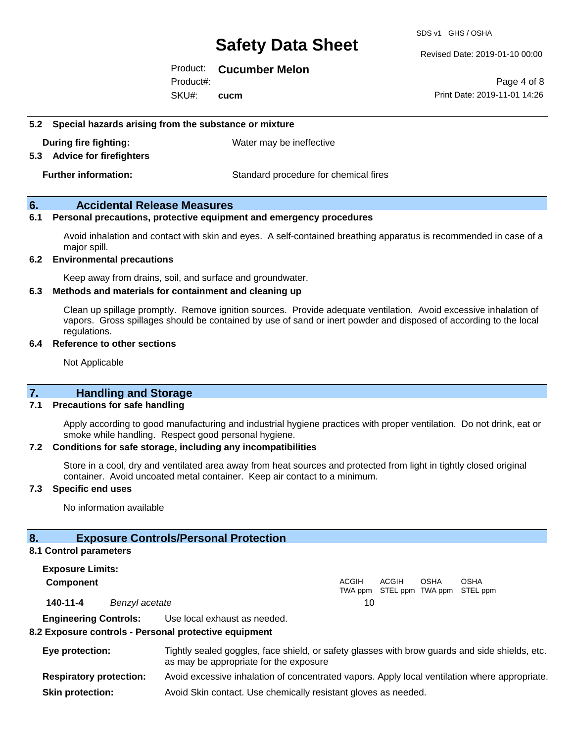SDS v1 GHS / OSHA

Revised Date: 2019-01-10 00:00

Product: **Cucumber Melon** 

SKU#: Product#: **cucm**

Page 4 of 8 Print Date: 2019-11-01 14:26

**5.2 Special hazards arising from the substance or mixture**

**During fire fighting:** Water may be ineffective

**5.3 Advice for firefighters**

**Further information:** Standard procedure for chemical fires

#### **6. Accidental Release Measures**

#### **6.1 Personal precautions, protective equipment and emergency procedures**

Avoid inhalation and contact with skin and eyes. A self-contained breathing apparatus is recommended in case of a major spill.

#### **6.2 Environmental precautions**

Keep away from drains, soil, and surface and groundwater.

#### **6.3 Methods and materials for containment and cleaning up**

Clean up spillage promptly. Remove ignition sources. Provide adequate ventilation. Avoid excessive inhalation of vapors. Gross spillages should be contained by use of sand or inert powder and disposed of according to the local regulations.

#### **6.4 Reference to other sections**

Not Applicable

#### **7. Handling and Storage**

#### **7.1 Precautions for safe handling**

Apply according to good manufacturing and industrial hygiene practices with proper ventilation. Do not drink, eat or smoke while handling. Respect good personal hygiene.

#### **7.2 Conditions for safe storage, including any incompatibilities**

Store in a cool, dry and ventilated area away from heat sources and protected from light in tightly closed original container. Avoid uncoated metal container. Keep air contact to a minimum.

#### **7.3 Specific end uses**

No information available

#### **8. Exposure Controls/Personal Protection**

#### **8.1 Control parameters**

**Exposure Limits: Component** ACGIH TWA ppm STEL ppm TWA ppm STEL ppm ACGIH **OSHA** OSHA **140-11-4** *Benzyl acetate* 10 **Engineering Controls:** Use local exhaust as needed.

#### **8.2 Exposure controls - Personal protective equipment**

| Eye protection:                | Tightly sealed goggles, face shield, or safety glasses with brow guards and side shields, etc.<br>as may be appropriate for the exposure |
|--------------------------------|------------------------------------------------------------------------------------------------------------------------------------------|
| <b>Respiratory protection:</b> | Avoid excessive inhalation of concentrated vapors. Apply local ventilation where appropriate.                                            |
| <b>Skin protection:</b>        | Avoid Skin contact. Use chemically resistant gloves as needed.                                                                           |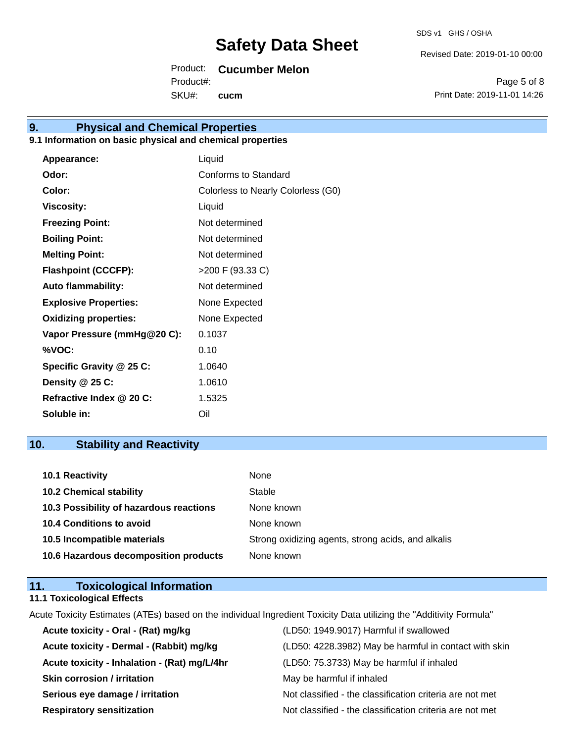Revised Date: 2019-01-10 00:00

Product: **Cucumber Melon** 

SKU#: Product#: **cucm**

Page 5 of 8 Print Date: 2019-11-01 14:26

# **9. Physical and Chemical Properties**

#### **9.1 Information on basic physical and chemical properties**

| Appearance:                  | Liquid                             |
|------------------------------|------------------------------------|
| Odor:                        | Conforms to Standard               |
| Color:                       | Colorless to Nearly Colorless (G0) |
| <b>Viscosity:</b>            | Liquid                             |
| <b>Freezing Point:</b>       | Not determined                     |
| <b>Boiling Point:</b>        | Not determined                     |
| <b>Melting Point:</b>        | Not determined                     |
| <b>Flashpoint (CCCFP):</b>   | >200 F (93.33 C)                   |
| <b>Auto flammability:</b>    | Not determined                     |
| <b>Explosive Properties:</b> | None Expected                      |
| <b>Oxidizing properties:</b> | None Expected                      |
| Vapor Pressure (mmHg@20 C):  | 0.1037                             |
| %VOC:                        | 0.10                               |
| Specific Gravity @ 25 C:     | 1.0640                             |
| Density @ 25 C:              | 1.0610                             |
| Refractive Index @ 20 C:     | 1.5325                             |
| Soluble in:                  | Oil                                |

### **10. Stability and Reactivity**

| 10.1 Reactivity                         | None                                               |
|-----------------------------------------|----------------------------------------------------|
| <b>10.2 Chemical stability</b>          | Stable                                             |
| 10.3 Possibility of hazardous reactions | None known                                         |
| <b>10.4 Conditions to avoid</b>         | None known                                         |
| 10.5 Incompatible materials             | Strong oxidizing agents, strong acids, and alkalis |
| 10.6 Hazardous decomposition products   | None known                                         |

| 11. | <b>Toxicological Information</b>  |  |
|-----|-----------------------------------|--|
|     | <b>11.1 Toxicological Effects</b> |  |

Acute Toxicity Estimates (ATEs) based on the individual Ingredient Toxicity Data utilizing the "Additivity Formula"

| Acute toxicity - Oral - (Rat) mg/kg          | (LD50: 1949.9017) Harmful if swallowed                   |
|----------------------------------------------|----------------------------------------------------------|
| Acute toxicity - Dermal - (Rabbit) mg/kg     | (LD50: 4228.3982) May be harmful in contact with skin    |
| Acute toxicity - Inhalation - (Rat) mg/L/4hr | (LD50: 75.3733) May be harmful if inhaled                |
| <b>Skin corrosion / irritation</b>           | May be harmful if inhaled                                |
| Serious eye damage / irritation              | Not classified - the classification criteria are not met |
| <b>Respiratory sensitization</b>             | Not classified - the classification criteria are not met |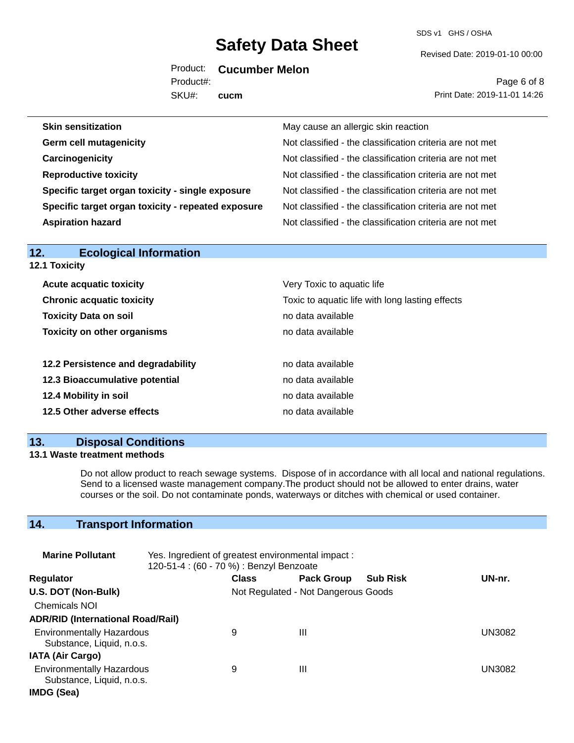SDS v1 GHS / OSHA

Revised Date: 2019-01-10 00:00

Product: **Cucumber Melon** 

SKU#: Product#: **cucm**

Page 6 of 8 Print Date: 2019-11-01 14:26

| May cause an allergic skin reaction                      |
|----------------------------------------------------------|
| Not classified - the classification criteria are not met |
| Not classified - the classification criteria are not met |
| Not classified - the classification criteria are not met |
| Not classified - the classification criteria are not met |
| Not classified - the classification criteria are not met |
| Not classified - the classification criteria are not met |
|                                                          |

| <b>Ecological Information</b><br>12. |                                                 |  |  |
|--------------------------------------|-------------------------------------------------|--|--|
| <b>12.1 Toxicity</b>                 |                                                 |  |  |
| <b>Acute acquatic toxicity</b>       | Very Toxic to aquatic life                      |  |  |
| <b>Chronic acquatic toxicity</b>     | Toxic to aquatic life with long lasting effects |  |  |
| <b>Toxicity Data on soil</b>         | no data available                               |  |  |
| <b>Toxicity on other organisms</b>   | no data available                               |  |  |
| 12.2 Persistence and degradability   | no data available                               |  |  |
| 12.3 Bioaccumulative potential       | no data available                               |  |  |
| 12.4 Mobility in soil                | no data available                               |  |  |
| 12.5 Other adverse effects           | no data available                               |  |  |
|                                      |                                                 |  |  |

#### **13. Disposal Conditions**

#### **13.1 Waste treatment methods**

Do not allow product to reach sewage systems. Dispose of in accordance with all local and national regulations. Send to a licensed waste management company.The product should not be allowed to enter drains, water courses or the soil. Do not contaminate ponds, waterways or ditches with chemical or used container.

### **14. Transport Information**

| <b>Marine Pollutant</b>                                       | Yes. Ingredient of greatest environmental impact:<br>120-51-4 : (60 - 70 %) : Benzyl Benzoate |              |                                     |                 |               |
|---------------------------------------------------------------|-----------------------------------------------------------------------------------------------|--------------|-------------------------------------|-----------------|---------------|
| <b>Regulator</b>                                              |                                                                                               | <b>Class</b> | <b>Pack Group</b>                   | <b>Sub Risk</b> | UN-nr.        |
| U.S. DOT (Non-Bulk)                                           |                                                                                               |              | Not Regulated - Not Dangerous Goods |                 |               |
| <b>Chemicals NOI</b>                                          |                                                                                               |              |                                     |                 |               |
| <b>ADR/RID (International Road/Rail)</b>                      |                                                                                               |              |                                     |                 |               |
| <b>Environmentally Hazardous</b><br>Substance, Liquid, n.o.s. |                                                                                               | 9            | Ш                                   |                 | UN3082        |
| <b>IATA (Air Cargo)</b>                                       |                                                                                               |              |                                     |                 |               |
| <b>Environmentally Hazardous</b><br>Substance, Liquid, n.o.s. |                                                                                               | 9            | Ш                                   |                 | <b>UN3082</b> |
| IMDG (Sea)                                                    |                                                                                               |              |                                     |                 |               |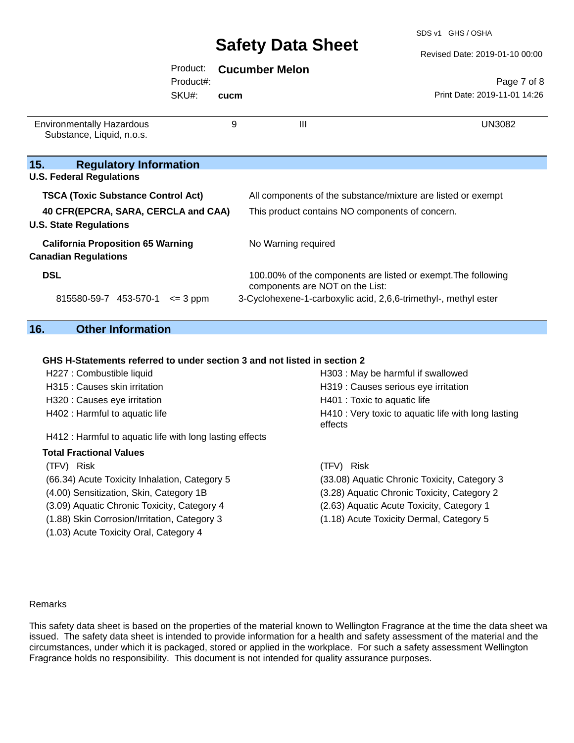SDS v1 GHS / OSHA

|                                                                         | <b>Safety Data Sheet</b> |      |                                                                                                  | Revised Date: 2019-01-10 00:00 |  |
|-------------------------------------------------------------------------|--------------------------|------|--------------------------------------------------------------------------------------------------|--------------------------------|--|
|                                                                         | Product:<br>Product#:    |      | <b>Cucumber Melon</b>                                                                            | Page 7 of 8                    |  |
|                                                                         | SKU#:                    | cucm |                                                                                                  | Print Date: 2019-11-01 14:26   |  |
| <b>Environmentally Hazardous</b><br>Substance, Liquid, n.o.s.           |                          | 9    | Ш                                                                                                | UN3082                         |  |
| 15.<br><b>Regulatory Information</b><br><b>U.S. Federal Regulations</b> |                          |      |                                                                                                  |                                |  |
| <b>TSCA (Toxic Substance Control Act)</b>                               |                          |      | All components of the substance/mixture are listed or exempt                                     |                                |  |
| 40 CFR(EPCRA, SARA, CERCLA and CAA)<br><b>U.S. State Regulations</b>    |                          |      | This product contains NO components of concern.                                                  |                                |  |
| <b>California Proposition 65 Warning</b><br><b>Canadian Regulations</b> |                          |      | No Warning required                                                                              |                                |  |
| <b>DSL</b>                                                              |                          |      | 100.00% of the components are listed or exempt. The following<br>components are NOT on the List: |                                |  |

### **16. Other Information**

#### **GHS H-Statements referred to under section 3 and not listed in section 2**

| H227 : Combustible liquid                                | H303 : May be harmful if swallowed                             |
|----------------------------------------------------------|----------------------------------------------------------------|
| H315 : Causes skin irritation                            | H319 : Causes serious eye irritation                           |
| H320 : Causes eye irritation                             | H401 : Toxic to aquatic life                                   |
| H402 : Harmful to aquatic life                           | H410 : Very toxic to aquatic life with long lasting<br>effects |
| H412 : Harmful to aquatic life with long lasting effects |                                                                |
| <b>Total Fractional Values</b>                           |                                                                |
| (TFV) Risk                                               | Risk<br>(TFV).                                                 |
| (66.34) Acute Toxicity Inhalation, Category 5            | (33.08) Aquatic Chronic Toxicity, Category 3                   |
| (4.00) Sensitization, Skin, Category 1B                  | (3.28) Aquatic Chronic Toxicity, Category 2                    |
| (3.09) Aquatic Chronic Toxicity, Category 4              | (2.63) Aquatic Acute Toxicity, Category 1                      |
| (1.88) Skin Corrosion/Irritation, Category 3             | (1.18) Acute Toxicity Dermal, Category 5                       |
| (1.03) Acute Toxicity Oral, Category 4                   |                                                                |

815580-59-7 453-570-1 <= 3 ppm 3-Cyclohexene-1-carboxylic acid, 2,6,6-trimethyl-, methyl ester

#### Remarks

This safety data sheet is based on the properties of the material known to Wellington Fragrance at the time the data sheet was issued. The safety data sheet is intended to provide information for a health and safety assessment of the material and the circumstances, under which it is packaged, stored or applied in the workplace. For such a safety assessment Wellington Fragrance holds no responsibility. This document is not intended for quality assurance purposes.